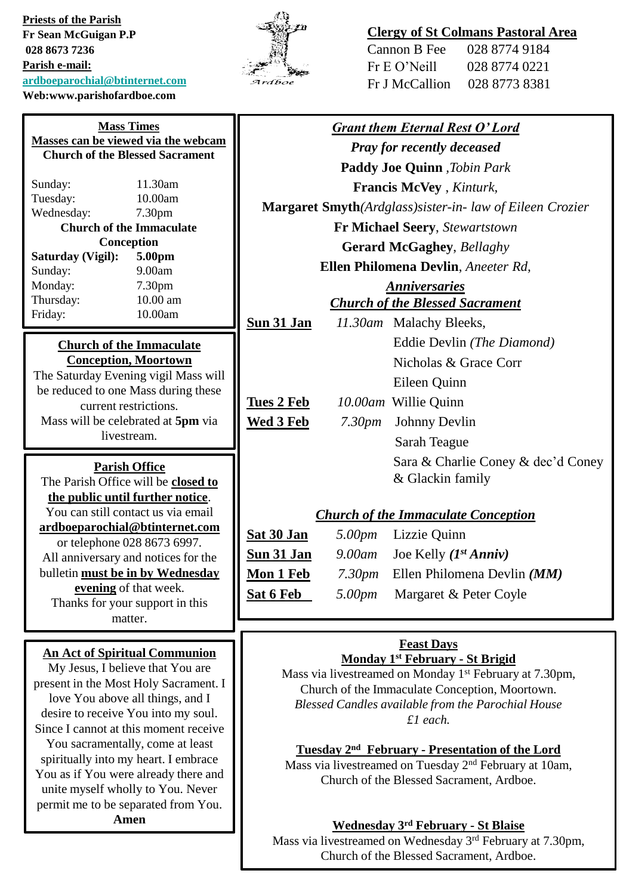**Priests of the Parish Fr Sean McGuigan P.P 028 8673 7236 Parish e-mail: [ardboeparochial@btinternet.com](mailto:ardboeparochial@btinternet.com) Web:www.parishofardboe.com**



# **Clergy of St Colmans Pastoral Area**

| Cannon B Fee   | 028 8774 9184 |
|----------------|---------------|
| Fr E O' Neill  | 028 8774 0221 |
| Fr J McCallion | 028 8773 8381 |

| <b>Mass Times</b>                                                             | <b>Grant them Eternal Rest O'Lord</b>                                                                                             |                                                                     |                                           |  |
|-------------------------------------------------------------------------------|-----------------------------------------------------------------------------------------------------------------------------------|---------------------------------------------------------------------|-------------------------------------------|--|
| Masses can be viewed via the webcam<br><b>Church of the Blessed Sacrament</b> | <b>Pray for recently deceased</b>                                                                                                 |                                                                     |                                           |  |
|                                                                               | Paddy Joe Quinn, Tobin Park                                                                                                       |                                                                     |                                           |  |
| 11.30am<br>Sunday:                                                            | <b>Francis McVey</b> , <i>Kinturk</i> ,                                                                                           |                                                                     |                                           |  |
| 10.00am<br>Tuesday:                                                           |                                                                                                                                   | <b>Margaret Smyth</b> (Ardglass)sister-in-law of Eileen Crozier     |                                           |  |
| Wednesday:<br>7.30 <sub>pm</sub><br><b>Church of the Immaculate</b>           |                                                                                                                                   | <b>Fr Michael Seery, Stewartstown</b>                               |                                           |  |
| Conception                                                                    |                                                                                                                                   |                                                                     |                                           |  |
| <b>Saturday (Vigil):</b><br>5.00pm                                            |                                                                                                                                   | <b>Gerard McGaghey</b> , Bellaghy                                   |                                           |  |
| 9.00am<br>Sunday:                                                             | Ellen Philomena Devlin, Aneeter Rd,                                                                                               |                                                                     |                                           |  |
| Monday:<br>7.30pm<br>Thursday:<br>10.00 am                                    |                                                                                                                                   | <b>Anniversaries</b>                                                |                                           |  |
| 10.00am<br>Friday:                                                            |                                                                                                                                   |                                                                     | <b>Church of the Blessed Sacrament</b>    |  |
|                                                                               | <b>Sun 31 Jan</b>                                                                                                                 |                                                                     | 11.30am Malachy Bleeks,                   |  |
| <b>Church of the Immaculate</b>                                               |                                                                                                                                   |                                                                     | Eddie Devlin (The Diamond)                |  |
| <b>Conception, Moortown</b>                                                   |                                                                                                                                   |                                                                     | Nicholas & Grace Corr                     |  |
| The Saturday Evening vigil Mass will                                          |                                                                                                                                   |                                                                     | Eileen Quinn                              |  |
| be reduced to one Mass during these<br>current restrictions.                  | <b>Tues 2 Feb</b>                                                                                                                 |                                                                     | 10.00am Willie Quinn                      |  |
| Mass will be celebrated at 5pm via                                            | <b>Wed 3 Feb</b>                                                                                                                  | 7.30 <sub>pm</sub>                                                  | <b>Johnny Devlin</b>                      |  |
| livestream.                                                                   |                                                                                                                                   |                                                                     | Sarah Teague                              |  |
|                                                                               |                                                                                                                                   |                                                                     | Sara & Charlie Coney & dec'd Coney        |  |
| <b>Parish Office</b><br>The Parish Office will be closed to                   |                                                                                                                                   |                                                                     | & Glackin family                          |  |
| the public until further notice.                                              |                                                                                                                                   |                                                                     |                                           |  |
| You can still contact us via email                                            |                                                                                                                                   | <b>Church of the Immaculate Conception</b>                          |                                           |  |
| ardboeparochial@btinternet.com                                                | Sat 30 Jan<br>Lizzie Quinn<br>5.00pm                                                                                              |                                                                     |                                           |  |
| or telephone 028 8673 6997.                                                   | <b>Sun 31 Jan</b>                                                                                                                 | $9.00$ am                                                           | Joe Kelly $(I^{st} Anniv)$                |  |
| All anniversary and notices for the<br>bulletin must be in by Wednesday       |                                                                                                                                   |                                                                     |                                           |  |
| evening of that week.                                                         | <b>Mon 1 Feb</b>                                                                                                                  | 7.30 <sub>pm</sub>                                                  | Ellen Philomena Devlin (MM)               |  |
| Thanks for your support in this                                               | <b>Sat 6 Feb</b>                                                                                                                  | 5.00pm                                                              | Margaret & Peter Coyle                    |  |
| matter.                                                                       |                                                                                                                                   |                                                                     |                                           |  |
|                                                                               |                                                                                                                                   |                                                                     | <b>Feast Days</b>                         |  |
| <b>An Act of Spiritual Communion</b>                                          | Monday 1 <sup>st</sup> February - St Brigid                                                                                       |                                                                     |                                           |  |
| My Jesus, I believe that You are                                              |                                                                                                                                   | Mass via livestreamed on Monday 1 <sup>st</sup> February at 7.30pm, |                                           |  |
| present in the Most Holy Sacrament. I<br>love You above all things, and I     | Church of the Immaculate Conception, Moortown.                                                                                    |                                                                     |                                           |  |
| desire to receive You into my soul.                                           | Blessed Candles available from the Parochial House                                                                                |                                                                     |                                           |  |
| Since I cannot at this moment receive                                         | £1 each.                                                                                                                          |                                                                     |                                           |  |
| You sacramentally, come at least                                              |                                                                                                                                   |                                                                     |                                           |  |
| spiritually into my heart. I embrace                                          | Tuesday 2 <sup>nd</sup> February - Presentation of the Lord<br>Mass via livestreamed on Tuesday 2 <sup>nd</sup> February at 10am, |                                                                     |                                           |  |
| You as if You were already there and                                          | Church of the Blessed Sacrament, Ardboe.                                                                                          |                                                                     |                                           |  |
| unite myself wholly to You. Never                                             |                                                                                                                                   |                                                                     |                                           |  |
| permit me to be separated from You.                                           |                                                                                                                                   |                                                                     |                                           |  |
| Amen                                                                          |                                                                                                                                   |                                                                     | <b>Wednesday 3rd February - St Blaise</b> |  |
|                                                                               |                                                                                                                                   |                                                                     |                                           |  |

Mass via livestreamed on Wednesday 3rd February at 7.30pm, Church of the Blessed Sacrament, Ardboe.